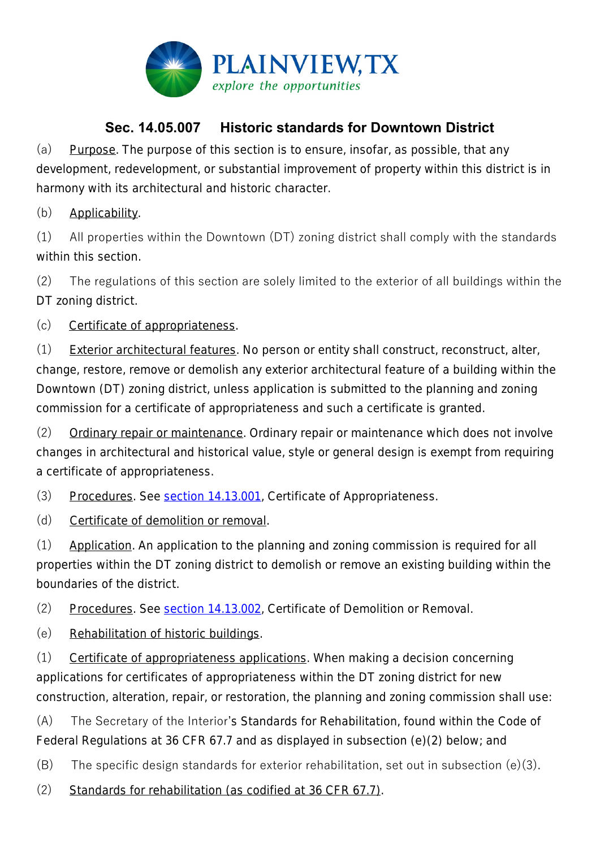

## **Sec. 14.05.007 Historic standards for Downtown District**

(a) Purpose. The purpose of this section is to ensure, insofar, as possible, that any development, redevelopment, or substantial improvement of property within this district is in harmony with its architectural and historic character.

(b) Applicability.

(1) All properties within the Downtown (DT) zoning district shall comply with the standards within this section.

(2) The regulations of this section are solely limited to the exterior of all buildings within the DT zoning district.

(c) Certificate of appropriateness.

(1) Exterior architectural features. No person or entity shall construct, reconstruct, alter, change, restore, remove or demolish any exterior architectural feature of a building within the Downtown (DT) zoning district, unless application is submitted to the planning and zoning commission for a certificate of appropriateness and such a certificate is granted.

(2) Ordinary repair or maintenance. Ordinary repair or maintenance which does not involve changes in architectural and historical value, style or general design is exempt from requiring a certificate of appropriateness.

(3) Procedures. See section 14.13.001, *Certificate of Appropriateness*.

(d) Certificate of demolition or removal.

(1) Application. An application to the planning and zoning commission is required for all properties within the DT zoning district to demolish or remove an existing building within the boundaries of the district.

(2) Procedures. See section 14.13.002, *Certificate of Demolition or Removal*.

(e) Rehabilitation of historic buildings.

(1) Certificate of appropriateness applications. When making a decision concerning applications for certificates of appropriateness within the DT zoning district for new construction, alteration, repair, or restoration, the planning and zoning commission shall use:

(A) The Secretary of the Interior's Standards for Rehabilitation, found within the Code of Federal Regulations at 36 CFR 67.7 and as displayed in subsection (e)(2) below; and

 $(B)$  The specific design standards for exterior rehabilitation, set out in subsection (e)(3).

(2) Standards for rehabilitation (as codified at 36 CFR 67.7).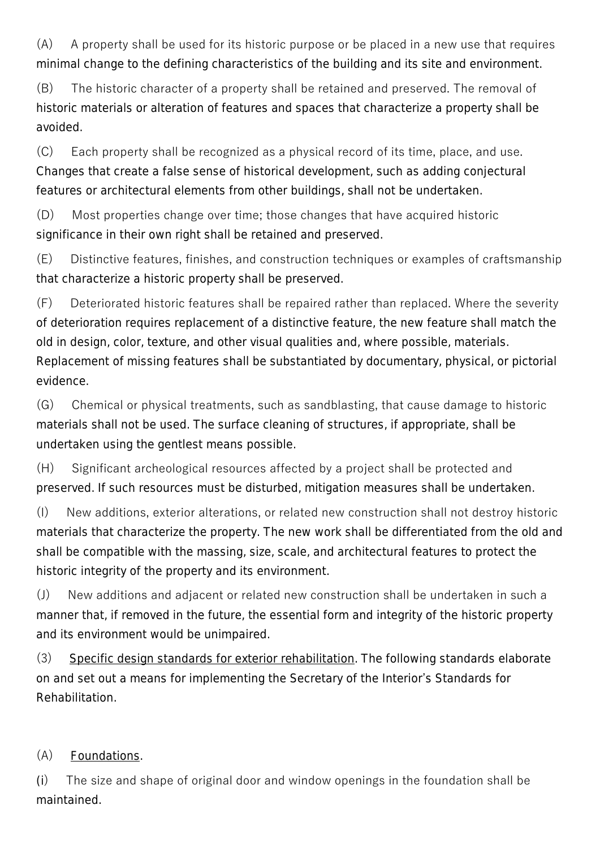(A) A property shall be used for its historic purpose or be placed in a new use that requires minimal change to the defining characteristics of the building and its site and environment.

(B) The historic character of a property shall be retained and preserved. The removal of historic materials or alteration of features and spaces that characterize a property shall be avoided.

(C) Each property shall be recognized as a physical record of its time, place, and use. Changes that create a false sense of historical development, such as adding conjectural features or architectural elements from other buildings, shall not be undertaken.

(D) Most properties change over time; those changes that have acquired historic significance in their own right shall be retained and preserved.

(E) Distinctive features, finishes, and construction techniques or examples of craftsmanship that characterize a historic property shall be preserved.

(F) Deteriorated historic features shall be repaired rather than replaced. Where the severity of deterioration requires replacement of a distinctive feature, the new feature shall match the old in design, color, texture, and other visual qualities and, where possible, materials. Replacement of missing features shall be substantiated by documentary, physical, or pictorial evidence.

(G) Chemical or physical treatments, such as sandblasting, that cause damage to historic materials shall not be used. The surface cleaning of structures, if appropriate, shall be undertaken using the gentlest means possible.

(H) Significant archeological resources affected by a project shall be protected and preserved. If such resources must be disturbed, mitigation measures shall be undertaken.

(I) New additions, exterior alterations, or related new construction shall not destroy historic materials that characterize the property. The new work shall be differentiated from the old and shall be compatible with the massing, size, scale, and architectural features to protect the historic integrity of the property and its environment.

(J) New additions and adjacent or related new construction shall be undertaken in such a manner that, if removed in the future, the essential form and integrity of the historic property and its environment would be unimpaired.

(3) Specific design standards for exterior rehabilitation. The following standards elaborate on and set out a means for implementing the Secretary of the Interior's Standards for Rehabilitation.

## (A) Foundations.

(i) The size and shape of original door and window openings in the foundation shall be maintained.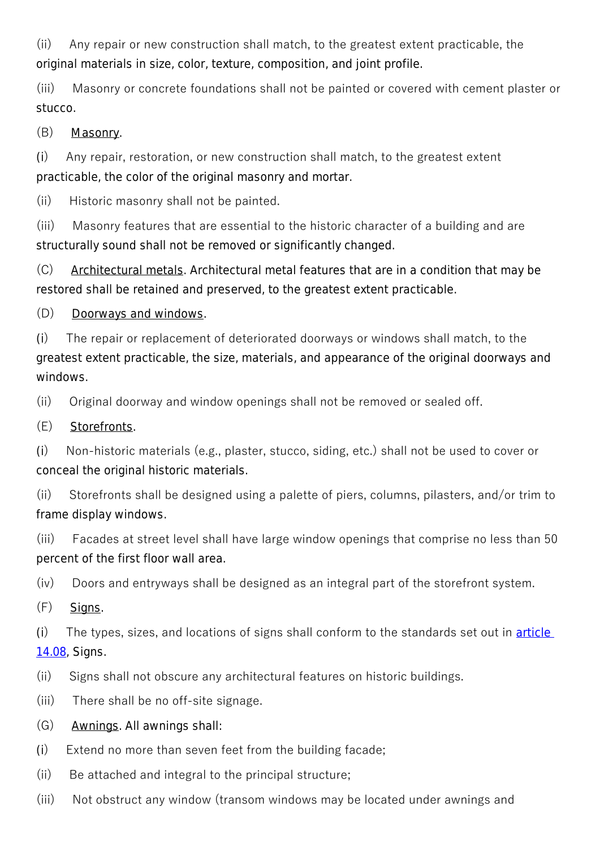(ii) Any repair or new construction shall match, to the greatest extent practicable, the original materials in size, color, texture, composition, and joint profile.

(iii) Masonry or concrete foundations shall not be painted or covered with cement plaster or stucco.

(B) Masonry.

(i) Any repair, restoration, or new construction shall match, to the greatest extent practicable, the color of the original masonry and mortar.

(ii) Historic masonry shall not be painted.

(iii) Masonry features that are essential to the historic character of a building and are structurally sound shall not be removed or significantly changed.

(C) Architectural metals. Architectural metal features that are in a condition that may be restored shall be retained and preserved, to the greatest extent practicable.

(D) Doorways and windows.

(i) The repair or replacement of deteriorated doorways or windows shall match, to the greatest extent practicable, the size, materials, and appearance of the original doorways and windows.

(ii) Original doorway and window openings shall not be removed or sealed off.

(E) Storefronts.

(i) Non-historic materials (e.g., plaster, stucco, siding, etc.) shall not be used to cover or conceal the original historic materials.

(ii) Storefronts shall be designed using a palette of piers, columns, pilasters, and/or trim to frame display windows.

(iii) Facades at street level shall have large window openings that comprise no less than 50 percent of the first floor wall area.

(iv) Doors and entryways shall be designed as an integral part of the storefront system.

 $(F)$  Signs.

(i) The types, sizes, and locations of signs shall conform to the standards set out in  $\frac{\text{article}}{\text{article}}$ 14.08, *Signs*.

- (ii) Signs shall not obscure any architectural features on historic buildings.
- (iii) There shall be no off-site signage.
- (G) Awnings. All awnings shall:
- (i) Extend no more than seven feet from the building facade;
- (ii) Be attached and integral to the principal structure;
- (iii) Not obstruct any window (transom windows may be located under awnings and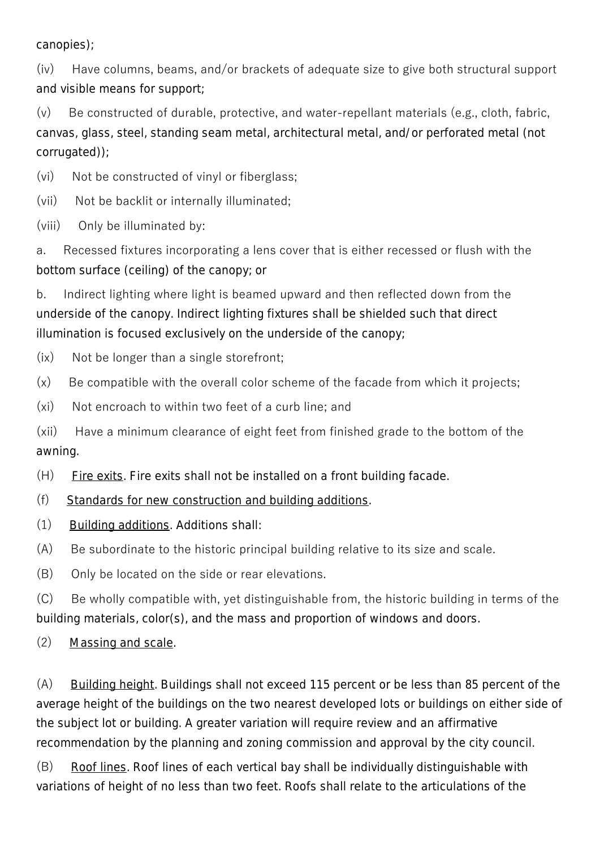canopies);

(iv) Have columns, beams, and/or brackets of adequate size to give both structural support and visible means for support;

(v) Be constructed of durable, protective, and water-repellant materials (e.g., cloth, fabric, canvas, glass, steel, standing seam metal, architectural metal, and/or perforated metal (not corrugated));

(vi) Not be constructed of vinyl or fiberglass;

(vii) Not be backlit or internally illuminated;

(viii) Only be illuminated by:

a. Recessed fixtures incorporating a lens cover that is either recessed or flush with the bottom surface (ceiling) of the canopy; or

b. Indirect lighting where light is beamed upward and then reflected down from the underside of the canopy. Indirect lighting fixtures shall be shielded such that direct illumination is focused exclusively on the underside of the canopy;

(ix) Not be longer than a single storefront;

(x) Be compatible with the overall color scheme of the facade from which it projects;

(xi) Not encroach to within two feet of a curb line; and

(xii) Have a minimum clearance of eight feet from finished grade to the bottom of the awning.

 $(H)$  Fire exits. Fire exits shall not be installed on a front building facade.

(f) Standards for new construction and building additions.

(1) Building additions. Additions shall:

(A) Be subordinate to the historic principal building relative to its size and scale.

(B) Only be located on the side or rear elevations.

(C) Be wholly compatible with, yet distinguishable from, the historic building in terms of the building materials, color(s), and the mass and proportion of windows and doors.

(2) Massing and scale.

(A) Building height. Buildings shall not exceed 115 percent or be less than 85 percent of the average height of the buildings on the two nearest developed lots or buildings on either side of the subject lot or building. A greater variation will require review and an affirmative recommendation by the planning and zoning commission and approval by the city council.

(B) Roof lines. Roof lines of each vertical bay shall be individually distinguishable with variations of height of no less than two feet. Roofs shall relate to the articulations of the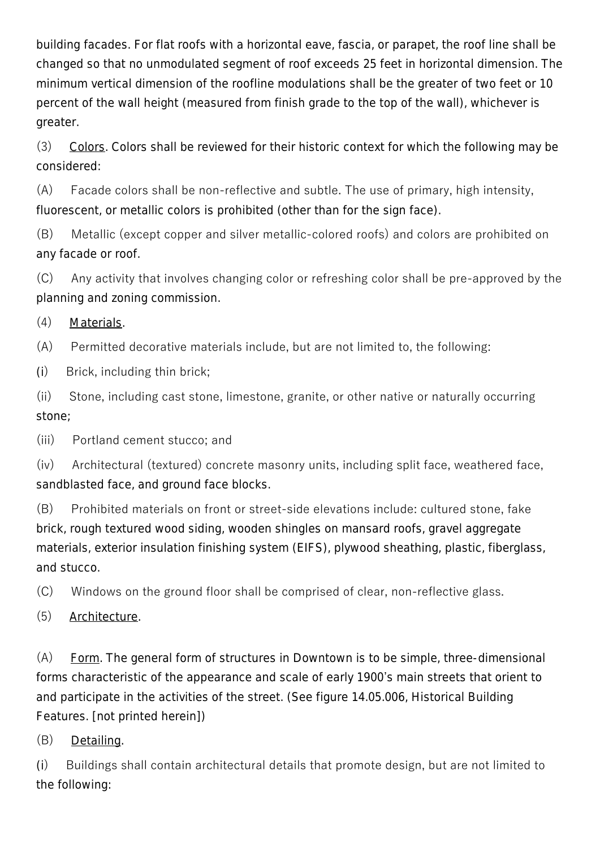building facades. For flat roofs with a horizontal eave, fascia, or parapet, the roof line shall be changed so that no unmodulated segment of roof exceeds 25 feet in horizontal dimension. The minimum vertical dimension of the roofline modulations shall be the greater of two feet or 10 percent of the wall height (measured from finish grade to the top of the wall), whichever is greater.

(3) Colors. Colors shall be reviewed for their historic context for which the following may be considered:

(A) Facade colors shall be non-reflective and subtle. The use of primary, high intensity, fluorescent, or metallic colors is prohibited (other than for the sign face).

(B) Metallic (except copper and silver metallic-colored roofs) and colors are prohibited on any facade or roof.

(C) Any activity that involves changing color or refreshing color shall be pre-approved by the planning and zoning commission.

(4) Materials.

(A) Permitted decorative materials include, but are not limited to, the following:

(i) Brick, including thin brick;

(ii) Stone, including cast stone, limestone, granite, or other native or naturally occurring stone;

(iii) Portland cement stucco; and

(iv) Architectural (textured) concrete masonry units, including split face, weathered face, sandblasted face, and ground face blocks.

(B) Prohibited materials on front or street-side elevations include: cultured stone, fake brick, rough textured wood siding, wooden shingles on mansard roofs, gravel aggregate materials, exterior insulation finishing system (EIFS), plywood sheathing, plastic, fiberglass, and stucco.

(C) Windows on the ground floor shall be comprised of clear, non-reflective glass.

(5) Architecture.

(A) Form. The general form of structures in Downtown is to be simple, three-dimensional forms characteristic of the appearance and scale of early 1900's main streets that orient to and participate in the activities of the street. (See figure 14.05.006, *Historical Building Features*. [not printed herein])

(B) Detailing.

(i) Buildings shall contain architectural details that promote design, but are not limited to the following: